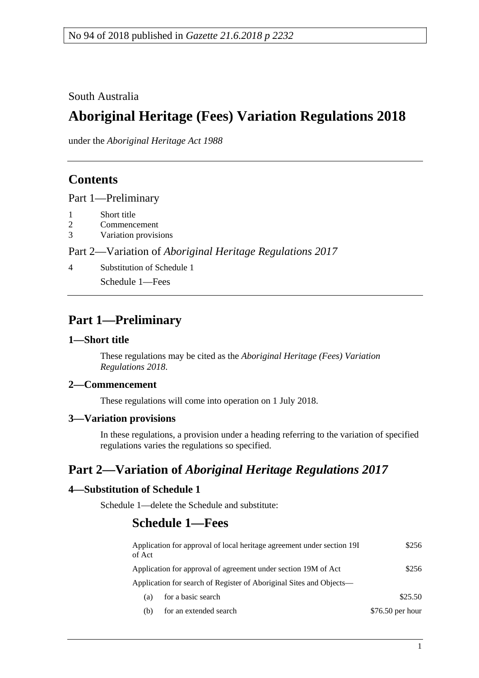South Australia

# **Aboriginal Heritage (Fees) Variation Regulations 2018**

under the *Aboriginal Heritage Act 1988*

## **Contents**

Part [1—Preliminary](#page-0-0)

- 1 [Short title](#page-0-1)
- 2 [Commencement](#page-0-2)
- 3 [Variation provisions](#page-0-3)

Part 2—Variation of *[Aboriginal Heritage Regulations 2017](#page-0-4)*

4 [Substitution of Schedule 1](#page-0-5)

Schedule 1—Fees

## <span id="page-0-0"></span>**Part 1—Preliminary**

## <span id="page-0-1"></span>**1—Short title**

These regulations may be cited as the *Aboriginal Heritage (Fees) Variation Regulations 2018*.

## <span id="page-0-2"></span>**2—Commencement**

These regulations will come into operation on 1 July 2018.

## <span id="page-0-3"></span>**3—Variation provisions**

In these regulations, a provision under a heading referring to the variation of specified regulations varies the regulations so specified.

## <span id="page-0-4"></span>**Part 2—Variation of** *Aboriginal Heritage Regulations 2017*

## <span id="page-0-5"></span>**4—Substitution of Schedule 1**

Schedule 1—delete the Schedule and substitute:

## **Schedule 1—Fees**

| of Act                                                         | Application for approval of local heritage agreement under section 19I | \$256             |
|----------------------------------------------------------------|------------------------------------------------------------------------|-------------------|
| Application for approval of agreement under section 19M of Act |                                                                        | \$256             |
|                                                                | Application for search of Register of Aboriginal Sites and Objects—    |                   |
| (a)                                                            | for a basic search                                                     | \$25.50           |
| (b)                                                            | for an extended search                                                 | $$76.50$ per hour |